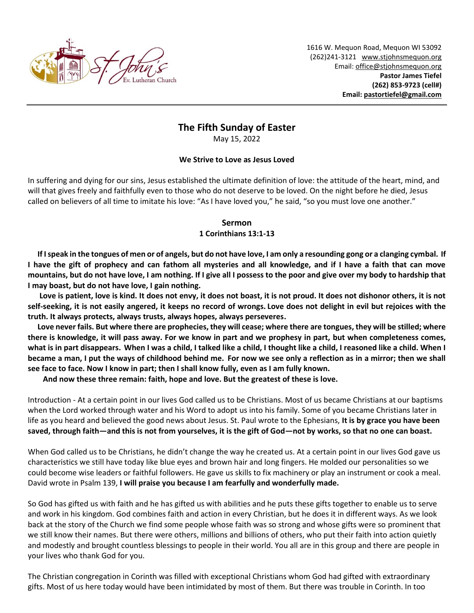

1616 W. Mequon Road, Mequon WI 53092 (262)241-3121 [www.stjohnsmequon.org](http://www.stjohnsmequon.org/) Email[: office@stjohnsmequon.org](mailto:office@stjohnsmequon.org) **Pastor James Tiefel (262) 853-9723 (cell#) Email: [pastortiefel@gmail.com](mailto:pastortiefel@gmail.com)**

# **The Fifth Sunday of Easter**

May 15, 2022

### **We Strive to Love as Jesus Loved**

In suffering and dying for our sins, Jesus established the ultimate definition of love: the attitude of the heart, mind, and will that gives freely and faithfully even to those who do not deserve to be loved. On the night before he died, Jesus called on believers of all time to imitate his love: "As I have loved you," he said, "so you must love one another."

### **Sermon**

### **1 Corinthians 13:1-13**

 **If I speak in the tongues of men or of angels, but do not have love, I am only a resounding gong or a clanging cymbal. If I have the gift of prophecy and can fathom all mysteries and all knowledge, and if I have a faith that can move mountains, but do not have love, I am nothing. If I give all I possess to the poor and give over my body to hardship that I may boast, but do not have love, I gain nothing.**

 **Love is patient, love is kind. It does not envy, it does not boast, it is not proud. It does not dishonor others, it is not self-seeking, it is not easily angered, it keeps no record of wrongs. Love does not delight in evil but rejoices with the truth. It always protects, always trusts, always hopes, always perseveres.**

 **Love never fails. But where there are prophecies, they will cease; where there are tongues, they will be stilled; where there is knowledge, it will pass away. For we know in part and we prophesy in part, but when completeness comes, what is in part disappears. When I was a child, I talked like a child, I thought like a child, I reasoned like a child. When I became a man, I put the ways of childhood behind me. For now we see only a reflection as in a mirror; then we shall see face to face. Now I know in part; then I shall know fully, even as I am fully known.** 

**And now these three remain: faith, hope and love. But the greatest of these is love.**

Introduction - At a certain point in our lives God called us to be Christians. Most of us became Christians at our baptisms when the Lord worked through water and his Word to adopt us into his family. Some of you became Christians later in life as you heard and believed the good news about Jesus. St. Paul wrote to the Ephesians, **It is by grace you have been saved, through faith—and this is not from yourselves, it is the gift of God—not by works, so that no one can boast.**

When God called us to be Christians, he didn't change the way he created us. At a certain point in our lives God gave us characteristics we still have today like blue eyes and brown hair and long fingers. He molded our personalities so we could become wise leaders or faithful followers. He gave us skills to fix machinery or play an instrument or cook a meal. David wrote in Psalm 139, **I will praise you because I am fearfully and wonderfully made.**

So God has gifted us with faith and he has gifted us with abilities and he puts these gifts together to enable us to serve and work in his kingdom. God combines faith and action in every Christian, but he does it in different ways. As we look back at the story of the Church we find some people whose faith was so strong and whose gifts were so prominent that we still know their names. But there were others, millions and billions of others, who put their faith into action quietly and modestly and brought countless blessings to people in their world. You all are in this group and there are people in your lives who thank God for you.

The Christian congregation in Corinth was filled with exceptional Christians whom God had gifted with extraordinary gifts. Most of us here today would have been intimidated by most of them. But there was trouble in Corinth. In too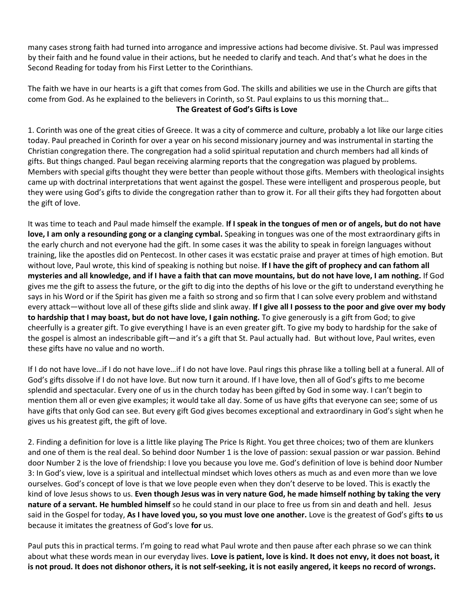many cases strong faith had turned into arrogance and impressive actions had become divisive. St. Paul was impressed by their faith and he found value in their actions, but he needed to clarify and teach. And that's what he does in the Second Reading for today from his First Letter to the Corinthians.

The faith we have in our hearts is a gift that comes from God. The skills and abilities we use in the Church are gifts that come from God. As he explained to the believers in Corinth, so St. Paul explains to us this morning that… **The Greatest of God's Gifts is Love**

1. Corinth was one of the great cities of Greece. It was a city of commerce and culture, probably a lot like our large cities today. Paul preached in Corinth for over a year on his second missionary journey and was instrumental in starting the Christian congregation there. The congregation had a solid spiritual reputation and church members had all kinds of gifts. But things changed. Paul began receiving alarming reports that the congregation was plagued by problems. Members with special gifts thought they were better than people without those gifts. Members with theological insights came up with doctrinal interpretations that went against the gospel. These were intelligent and prosperous people, but they were using God's gifts to divide the congregation rather than to grow it. For all their gifts they had forgotten about the gift of love.

It was time to teach and Paul made himself the example. **If I speak in the tongues of men or of angels, but do not have love, I am only a resounding gong or a clanging cymbal.** Speaking in tongues was one of the most extraordinary gifts in the early church and not everyone had the gift. In some cases it was the ability to speak in foreign languages without training, like the apostles did on Pentecost. In other cases it was ecstatic praise and prayer at times of high emotion. But without love, Paul wrote, this kind of speaking is nothing but noise. **If I have the gift of prophecy and can fathom all mysteries and all knowledge, and if I have a faith that can move mountains, but do not have love, I am nothing.** If God gives me the gift to assess the future, or the gift to dig into the depths of his love or the gift to understand everything he says in his Word or if the Spirit has given me a faith so strong and so firm that I can solve every problem and withstand every attack—without love all of these gifts slide and slink away. **If I give all I possess to the poor and give over my body to hardship that I may boast, but do not have love, I gain nothing.** To give generously is a gift from God; to give cheerfully is a greater gift. To give everything I have is an even greater gift. To give my body to hardship for the sake of the gospel is almost an indescribable gift—and it's a gift that St. Paul actually had. But without love, Paul writes, even these gifts have no value and no worth.

If I do not have love…if I do not have love…if I do not have love. Paul rings this phrase like a tolling bell at a funeral. All of God's gifts dissolve if I do not have love. But now turn it around. If I have love, then all of God's gifts to me become splendid and spectacular. Every one of us in the church today has been gifted by God in some way. I can't begin to mention them all or even give examples; it would take all day. Some of us have gifts that everyone can see; some of us have gifts that only God can see. But every gift God gives becomes exceptional and extraordinary in God's sight when he gives us his greatest gift, the gift of love.

2. Finding a definition for love is a little like playing The Price Is Right. You get three choices; two of them are klunkers and one of them is the real deal. So behind door Number 1 is the love of passion: sexual passion or war passion. Behind door Number 2 is the love of friendship: I love you because you love me. God's definition of love is behind door Number 3: In God's view, love is a spiritual and intellectual mindset which loves others as much as and even more than we love ourselves. God's concept of love is that we love people even when they don't deserve to be loved. This is exactly the kind of love Jesus shows to us. **Even though Jesus was in very nature God, he made himself nothing by taking the very nature of a servant. He humbled himself** so he could stand in our place to free us from sin and death and hell. Jesus said in the Gospel for today, **As I have loved you, so you must love one another.** Love is the greatest of God's gifts **to** us because it imitates the greatness of God's love **for** us.

Paul puts this in practical terms. I'm going to read what Paul wrote and then pause after each phrase so we can think about what these words mean in our everyday lives. **Love is patient, love is kind. It does not envy, it does not boast, it is not proud. It does not dishonor others, it is not self-seeking, it is not easily angered, it keeps no record of wrongs.**